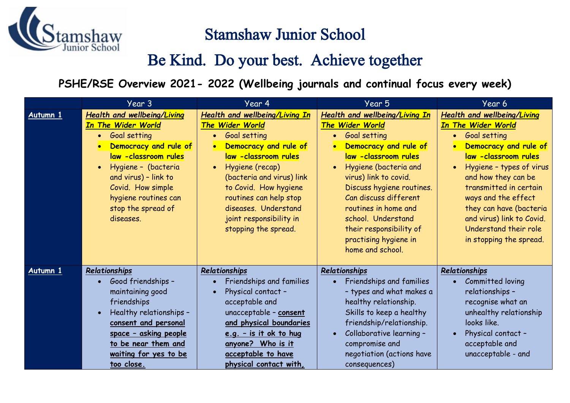

## Stamshaw Junior School

## Be Kind. Do your best. Achieve together

**PSHE/RSE Overview 2021- 2022 (Wellbeing journals and continual focus every week)**

|          | Year 3                                                                                                                                                                                                                                                                       | Year 4                                                                                                                                                                                                                                                                                                  | Year 5                                                                                                                                                                                                                                                                                                                                                               | Year 6                                                                                                                                                                                                                                                                                                                                                                                  |
|----------|------------------------------------------------------------------------------------------------------------------------------------------------------------------------------------------------------------------------------------------------------------------------------|---------------------------------------------------------------------------------------------------------------------------------------------------------------------------------------------------------------------------------------------------------------------------------------------------------|----------------------------------------------------------------------------------------------------------------------------------------------------------------------------------------------------------------------------------------------------------------------------------------------------------------------------------------------------------------------|-----------------------------------------------------------------------------------------------------------------------------------------------------------------------------------------------------------------------------------------------------------------------------------------------------------------------------------------------------------------------------------------|
| Autumn 1 | <b>Health and wellbeing/Living</b><br><b>In The Wider World</b><br>Goal setting<br>$\bullet$<br>Democracy and rule of<br>law -classroom rules<br>Hygiene - (bacteria<br>and virus) - link to<br>Covid. How simple<br>hygiene routines can<br>stop the spread of<br>diseases. | <b>Health and wellbeing/Living In</b><br>The Wider World<br>Goal setting<br>Democracy and rule of<br>law -classroom rules<br>Hygiene (recap)<br>(bacteria and virus) link<br>to Covid. How hygiene<br>routines can help stop<br>diseases. Understand<br>joint responsibility in<br>stopping the spread. | Health and wellbeing/Living In<br>The Wider World<br><b>Goal setting</b><br>$\bullet$<br>Democracy and rule of<br>law -classroom rules<br>Hygiene (bacteria and<br>virus) link to covid.<br>Discuss hygiene routines.<br>Can discuss different<br>routines in home and<br>school. Understand<br>their responsibility of<br>practising hygiene in<br>home and school. | <b>Health and wellbeing/Living</b><br><b>In The Wider World</b><br>Goal setting<br>$\bullet$<br>Democracy and rule of<br>$\bullet$<br>law -classroom rules<br>Hygiene - types of virus<br>$\bullet$<br>and how they can be<br>transmitted in certain<br>ways and the effect<br>they can have (bacteria<br>and virus) link to Covid.<br>Understand their role<br>in stopping the spread. |
| Autumn 1 | Relationships<br>Good friendships -<br>maintaining good<br>friendships<br>Healthy relationships -<br>consent and personal<br>space - asking people<br>to be near them and<br>waiting for yes to be<br>too close.                                                             | Relationships<br>Friendships and families<br>Physical contact -<br>acceptable and<br>unacceptable - consent<br>and physical boundaries<br>e.g. - is it ok to hug<br>anyone? Who is it<br>acceptable to have<br>physical contact with,                                                                   | Relationships<br>Friendships and families<br>- types and what makes a<br>healthy relationship.<br>Skills to keep a healthy<br>friendship/relationship.<br>Collaborative learning -<br>compromise and<br>negotiation (actions have<br>consequences)                                                                                                                   | Relationships<br>Committed loving<br>relationships -<br>recognise what an<br>unhealthy relationship<br>looks like.<br>Physical contact -<br>$\bullet$<br>acceptable and<br>unacceptable - and                                                                                                                                                                                           |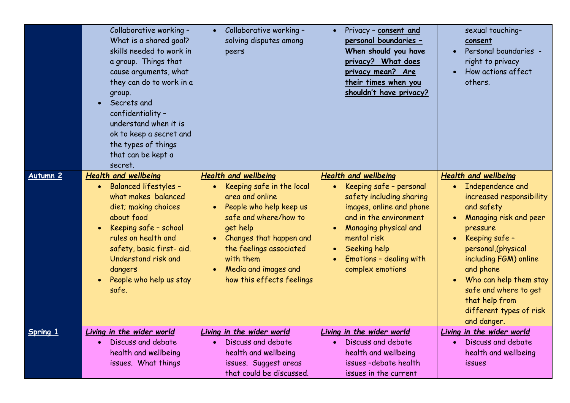|                 | Collaborative working -<br>What is a shared goal?<br>skills needed to work in<br>a group. Things that<br>cause arguments, what<br>they can do to work in a<br>group.<br>Secrets and<br>confidentiality -<br>understand when it is<br>ok to keep a secret and<br>the types of things<br>that can be kept a<br>secret. | Collaborative working -<br>solving disputes among<br>peers                                                                                                                                                                                                          | Privacy - consent and<br>personal boundaries -<br>When should you have<br>privacy? What does<br>privacy mean? Are<br>their times when you<br>shouldn't have privacy?                                                                            | sexual touching-<br>consent<br>Personal boundaries -<br>right to privacy<br>How actions affect<br>others.                                                                                                                                                                                                                                                            |
|-----------------|----------------------------------------------------------------------------------------------------------------------------------------------------------------------------------------------------------------------------------------------------------------------------------------------------------------------|---------------------------------------------------------------------------------------------------------------------------------------------------------------------------------------------------------------------------------------------------------------------|-------------------------------------------------------------------------------------------------------------------------------------------------------------------------------------------------------------------------------------------------|----------------------------------------------------------------------------------------------------------------------------------------------------------------------------------------------------------------------------------------------------------------------------------------------------------------------------------------------------------------------|
| Autumn 2        | <b>Health and wellbeing</b><br><b>Balanced lifestyles -</b><br>$\bullet$<br>what makes balanced<br>diet; making choices<br>about food<br>Keeping safe - school<br>rules on health and<br>safety, basic first- aid.<br>Understand risk and<br>dangers<br>People who help us stay<br>safe.                             | <b>Health and wellbeing</b><br>Keeping safe in the local<br>area and online<br>People who help keep us<br>safe and where/how to<br>get help<br>Changes that happen and<br>the feelings associated<br>with them<br>Media and images and<br>how this effects feelings | <b>Health and wellbeing</b><br>Keeping safe - personal<br>safety including sharing<br>images, online and phone<br>and in the environment<br>Managing physical and<br>mental risk<br>Seeking help<br>Emotions - dealing with<br>complex emotions | <b>Health and wellbeing</b><br>Independence and<br>$\bullet$<br>increased responsibility<br>and safety<br>Managing risk and peer<br>pressure<br>Keeping safe -<br>$\bullet$<br>personal, (physical<br>including FGM) online<br>and phone<br>Who can help them stay<br>$\bullet$<br>safe and where to get<br>that help from<br>different types of risk<br>and danger. |
| <b>Spring 1</b> | Living in the wider world<br>Discuss and debate<br>health and wellbeing<br>issues. What things                                                                                                                                                                                                                       | Living in the wider world<br>Discuss and debate<br>$\bullet$<br>health and wellbeing<br>issues. Suggest areas<br>that could be discussed.                                                                                                                           | Living in the wider world<br>Discuss and debate<br>health and wellbeing<br>issues-debate health<br>issues in the current                                                                                                                        | Living in the wider world<br>Discuss and debate<br>$\bullet$<br>health and wellbeing<br>issues                                                                                                                                                                                                                                                                       |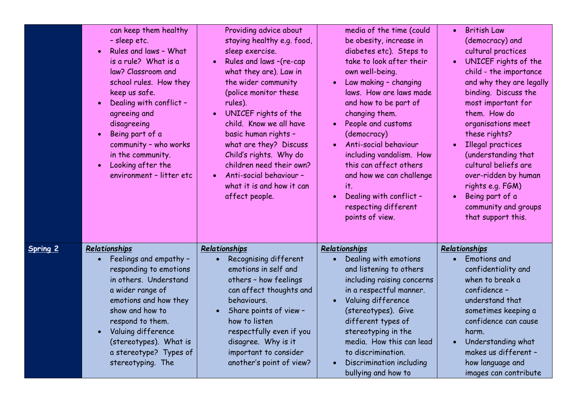|          | can keep them healthy<br>- sleep etc.<br>Rules and laws - What<br>is a rule? What is a<br>law? Classroom and<br>school rules. How they<br>keep us safe.<br>Dealing with conflict -<br>agreeing and<br>disagreeing<br>Being part of a<br>community - who works<br>in the community.<br>Looking after the<br>environment - litter etc | Providing advice about<br>staying healthy e.g. food,<br>sleep exercise.<br>Rules and laws -(re-cap<br>$\bullet$<br>what they are). Law in<br>the wider community<br>(police monitor these<br>rules).<br>UNICEF rights of the<br>$\bullet$<br>child. Know we all have<br>basic human rights -<br>what are they? Discuss<br>Child's rights. Why do<br>children need their own?<br>Anti-social behaviour -<br>$\bullet$<br>what it is and how it can<br>affect people. | media of the time (could<br>be obesity, increase in<br>diabetes etc). Steps to<br>take to look after their<br>own well-being.<br>Law making - changing<br>laws. How are laws made<br>and how to be part of<br>changing them.<br>People and customs<br>(democracy)<br>Anti-social behaviour<br>including vandalism. How<br>this can affect others<br>and how we can challenge<br>it.<br>Dealing with conflict -<br>respecting different<br>points of view. | <b>British Law</b><br>$\bullet$<br>(democracy) and<br>cultural practices<br>UNICEF rights of the<br>$\bullet$<br>child - the importance<br>and why they are legally<br>binding. Discuss the<br>most important for<br>them. How do<br>organisations meet<br>these rights?<br>Illegal practices<br>(understanding that<br>cultural beliefs are<br>over-ridden by human<br>rights e.g. FGM)<br>Being part of a<br>community and groups<br>that support this. |
|----------|-------------------------------------------------------------------------------------------------------------------------------------------------------------------------------------------------------------------------------------------------------------------------------------------------------------------------------------|---------------------------------------------------------------------------------------------------------------------------------------------------------------------------------------------------------------------------------------------------------------------------------------------------------------------------------------------------------------------------------------------------------------------------------------------------------------------|-----------------------------------------------------------------------------------------------------------------------------------------------------------------------------------------------------------------------------------------------------------------------------------------------------------------------------------------------------------------------------------------------------------------------------------------------------------|-----------------------------------------------------------------------------------------------------------------------------------------------------------------------------------------------------------------------------------------------------------------------------------------------------------------------------------------------------------------------------------------------------------------------------------------------------------|
| Spring 2 | Relationships<br>Feelings and empathy -<br>responding to emotions<br>in others. Understand<br>a wider range of<br>emotions and how they<br>show and how to<br>respond to them.<br>Valuing difference<br>(stereotypes). What is<br>a stereotype? Types of<br>stereotyping. The                                                       | Relationships<br>Recognising different<br>emotions in self and<br>others - how feelings<br>can affect thoughts and<br>behaviours.<br>Share points of view -<br>how to listen<br>respectfully even if you<br>disagree. Why is it<br>important to consider<br>another's point of view?                                                                                                                                                                                | Relationships<br>Dealing with emotions<br>and listening to others<br>including raising concerns<br>in a respectful manner.<br>Valuing difference<br>(stereotypes). Give<br>different types of<br>stereotyping in the<br>media. How this can lead<br>to discrimination.<br>Discrimination including<br>bullying and how to                                                                                                                                 | Relationships<br><b>Emotions</b> and<br>confidentiality and<br>when to break a<br>confidence-<br>understand that<br>sometimes keeping a<br>confidence can cause<br>harm.<br>Understanding what<br>makes us different -<br>how language and<br>images can contribute                                                                                                                                                                                       |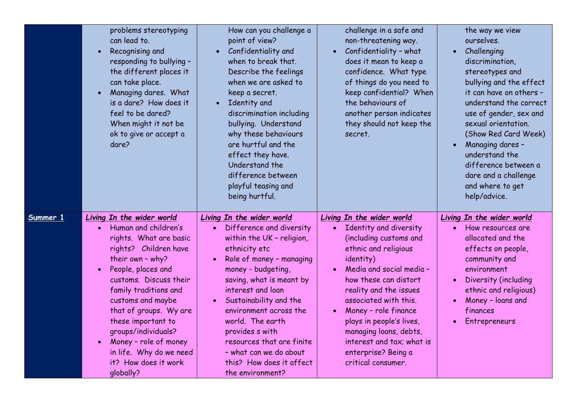|          | problems stereotyping<br>can lead to.<br>Recognising and<br>responding to bullying -<br>the different places it<br>can take place.<br>Managing dares. What<br>is a dare? How does it<br>feel to be dared?<br>When might it not be<br>ok to give or accept a<br>dare?                                                                                                                   | How can you challenge a<br>point of view?<br>Confidentiality and<br>when to break that.<br>Describe the feelings<br>when we are asked to<br>keep a secret.<br>Identity and<br>$\bullet$<br>discrimination including<br>bullying. Understand<br>why these behaviours<br>are hurtful and the<br>effect they have.<br>Understand the<br>difference between<br>playful teasing and<br>being hurtful.                                   | challenge in a safe and<br>non-threatening way.<br>Confidentiality - what<br>does it mean to keep a<br>confidence. What type<br>of things do you need to<br>keep confidential? When<br>the behaviours of<br>another person indicates<br>they should not keep the<br>secret.                                                                                                        | the way we view<br>ourselves.<br>Challenging<br>discrimination,<br>stereotypes and<br>bullying and the effect<br>it can have on others -<br>understand the correct<br>use of gender, sex and<br>sexual orientation.<br>(Show Red Card Week)<br>Managing dares -<br>understand the<br>difference between a<br>dare and a challenge<br>and where to get<br>help/advice. |
|----------|----------------------------------------------------------------------------------------------------------------------------------------------------------------------------------------------------------------------------------------------------------------------------------------------------------------------------------------------------------------------------------------|------------------------------------------------------------------------------------------------------------------------------------------------------------------------------------------------------------------------------------------------------------------------------------------------------------------------------------------------------------------------------------------------------------------------------------|------------------------------------------------------------------------------------------------------------------------------------------------------------------------------------------------------------------------------------------------------------------------------------------------------------------------------------------------------------------------------------|-----------------------------------------------------------------------------------------------------------------------------------------------------------------------------------------------------------------------------------------------------------------------------------------------------------------------------------------------------------------------|
| Summer 1 | Living In the wider world<br>Human and children's<br>rights. What are basic<br>rights? Children have<br>their own - why?<br>People, places and<br>customs. Discuss their<br>family traditions and<br>customs and maybe<br>that of groups. Wy are<br>these important to<br>groups/individuals?<br>Money - role of money<br>in life. Why do we need<br>it? How does it work<br>qlobally? | Living In the wider world<br>Difference and diversity<br>within the UK - religion,<br>ethnicity etc<br>Role of money - managing<br>$\bullet$<br>money - budgeting,<br>saving, what is meant by<br>interest and loan<br>Sustainability and the<br>$\bullet$<br>environment across the<br>world. The earth<br>provides s with<br>resources that are finite<br>- what can we do about<br>this? How does it affect<br>the environment? | Living In the wider world<br>Identity and diversity<br>(including customs and<br>ethnic and religious<br>identity)<br>Media and social media -<br>how these can distort<br>reality and the issues<br>associated with this.<br>Money - role finance<br>plays in people's lives,<br>managing loans, debts,<br>interest and tax; what is<br>enterprise? Being a<br>critical consumer. | Living In the wider world<br>How resources are<br>$\bullet$<br>allocated and the<br>effects on people,<br>community and<br>environment<br>Diversity (including<br>ethnic and religious)<br>Money - loans and<br>finances<br>Entrepreneurs                                                                                                                             |